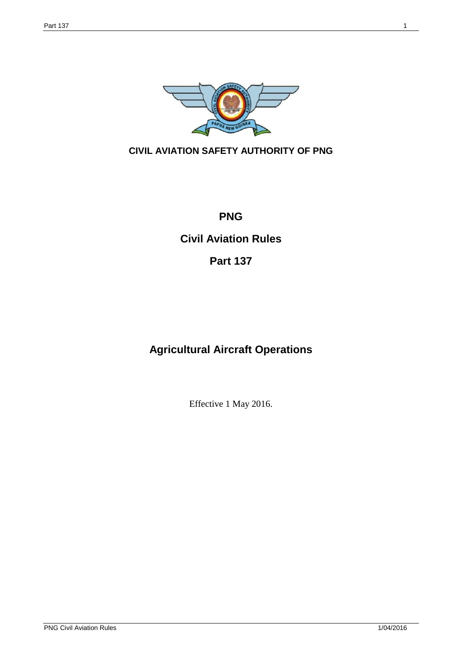

## **CIVIL AVIATION SAFETY AUTHORITY OF PNG**

# **PNG**

# **Civil Aviation Rules**

# **Part 137**

# **Agricultural Aircraft Operations**

Effective 1 May 2016.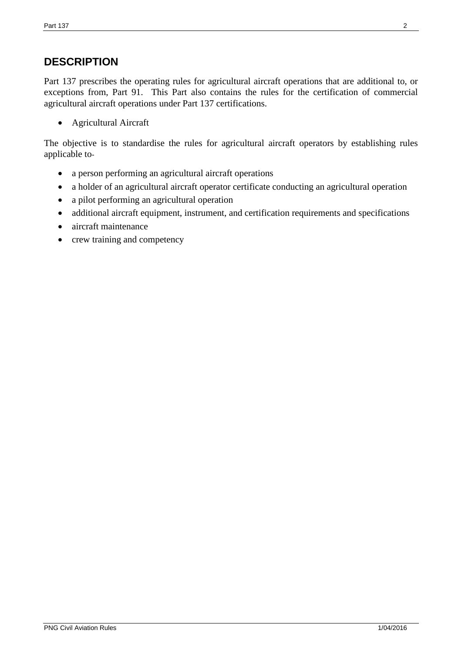## **DESCRIPTION**

Part 137 prescribes the operating rules for agricultural aircraft operations that are additional to, or exceptions from, Part 91. This Part also contains the rules for the certification of commercial agricultural aircraft operations under Part 137 certifications.

• Agricultural Aircraft

The objective is to standardise the rules for agricultural aircraft operators by establishing rules applicable to-

- a person performing an agricultural aircraft operations
- a holder of an agricultural aircraft operator certificate conducting an agricultural operation
- a pilot performing an agricultural operation
- additional aircraft equipment, instrument, and certification requirements and specifications
- aircraft maintenance
- crew training and competency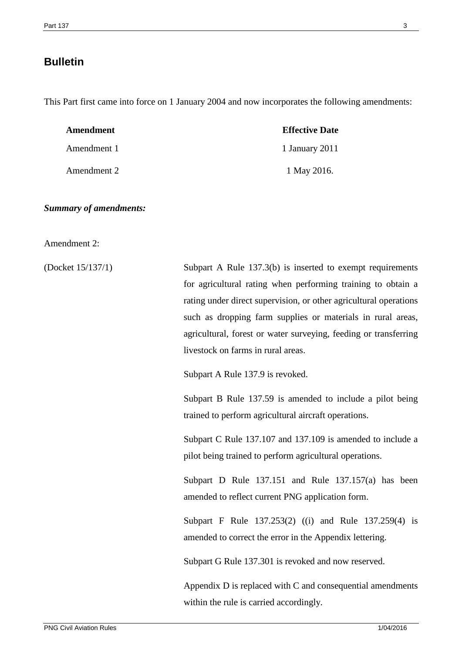## **Bulletin**

This Part first came into force on 1 January 2004 and now incorporates the following amendments:

| Amendment   | <b>Effective Date</b> |
|-------------|-----------------------|
| Amendment 1 | 1 January 2011        |
| Amendment 2 | 1 May 2016.           |

*Summary of amendments:*

Amendment 2:

(Docket 15/137/1) Subpart A Rule 137.3(b) is inserted to exempt requirements for agricultural rating when performing training to obtain a rating under direct supervision, or other agricultural operations such as dropping farm supplies or materials in rural areas, agricultural, forest or water surveying, feeding or transferring livestock on farms in rural areas.

Subpart A Rule 137.9 is revoked.

Subpart B Rule 137.59 is amended to include a pilot being trained to perform agricultural aircraft operations.

Subpart C Rule 137.107 and 137.109 is amended to include a pilot being trained to perform agricultural operations.

Subpart D Rule 137.151 and Rule 137.157(a) has been amended to reflect current PNG application form.

Subpart F Rule 137.253(2) ((i) and Rule 137.259(4) is amended to correct the error in the Appendix lettering.

Subpart G Rule 137.301 is revoked and now reserved.

Appendix D is replaced with C and consequential amendments within the rule is carried accordingly.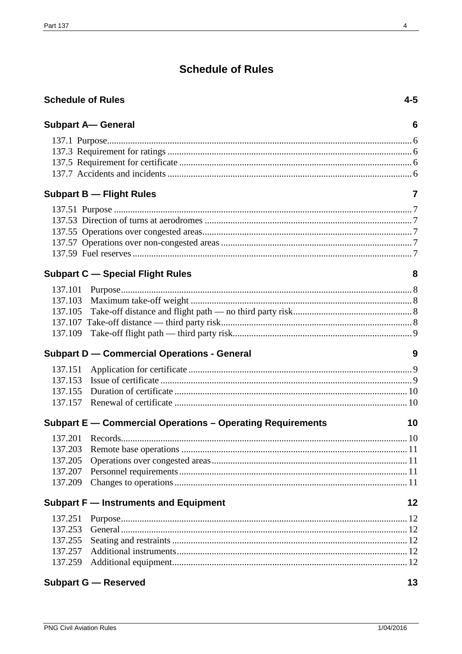# **Schedule of Rules**

|         | <b>Schedule of Rules</b>                                   | $4 - 5$        |
|---------|------------------------------------------------------------|----------------|
|         | <b>Subpart A-General</b>                                   | 6              |
|         |                                                            |                |
|         |                                                            |                |
|         |                                                            |                |
|         |                                                            |                |
|         | <b>Subpart B - Flight Rules</b>                            | $\overline{7}$ |
|         |                                                            |                |
|         |                                                            |                |
|         |                                                            |                |
|         |                                                            |                |
|         |                                                            |                |
|         | <b>Subpart C - Special Flight Rules</b>                    | 8              |
|         |                                                            |                |
|         |                                                            |                |
|         |                                                            |                |
|         |                                                            |                |
|         |                                                            |                |
|         | <b>Subpart D - Commercial Operations - General</b>         | 9              |
| 137.151 |                                                            |                |
|         |                                                            |                |
| 137.155 |                                                            |                |
|         |                                                            |                |
|         | Subpart E - Commercial Operations - Operating Requirements | 10             |
|         |                                                            | 10             |
|         |                                                            |                |
| 137.205 |                                                            |                |
| 137.207 |                                                            |                |
| 137.209 |                                                            |                |
|         | <b>Subpart F - Instruments and Equipment</b>               | 12             |
| 137.251 |                                                            |                |
| 137.253 |                                                            |                |
| 137.255 |                                                            |                |
| 137.257 |                                                            |                |
|         |                                                            |                |
|         | <b>Subpart G - Reserved</b>                                | 13             |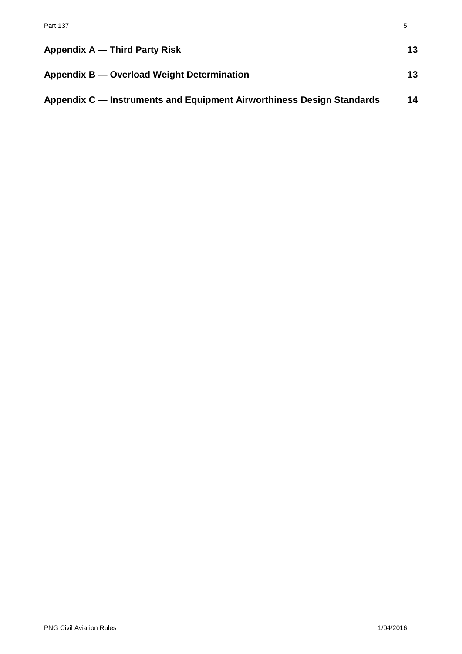| Appendix A — Third Party Risk                                         | 13 |
|-----------------------------------------------------------------------|----|
| Appendix B — Overload Weight Determination                            | 13 |
| Appendix C — Instruments and Equipment Airworthiness Design Standards | 14 |

 $\overline{\phantom{0}}$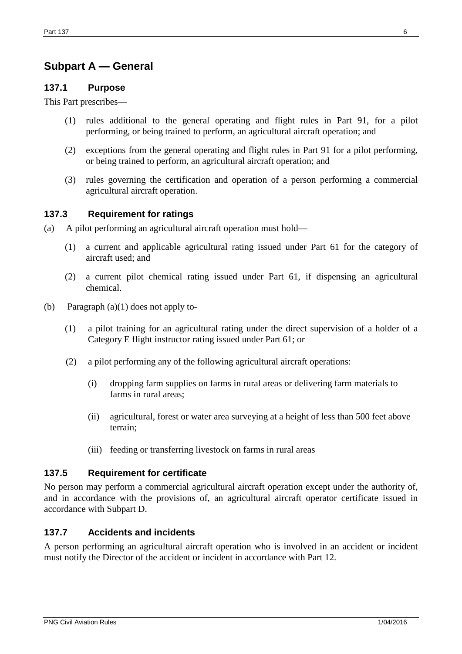# **Subpart A — General**

#### **137.1 Purpose**

This Part prescribes—

- (1) rules additional to the general operating and flight rules in Part 91, for a pilot performing, or being trained to perform, an agricultural aircraft operation; and
- (2) exceptions from the general operating and flight rules in Part 91 for a pilot performing, or being trained to perform, an agricultural aircraft operation; and
- (3) rules governing the certification and operation of a person performing a commercial agricultural aircraft operation.

#### **137.3 Requirement for ratings**

- (a) A pilot performing an agricultural aircraft operation must hold—
	- (1) a current and applicable agricultural rating issued under Part 61 for the category of aircraft used; and
	- (2) a current pilot chemical rating issued under Part 61, if dispensing an agricultural chemical.
- (b) Paragraph (a)(1) does not apply to-
	- (1) a pilot training for an agricultural rating under the direct supervision of a holder of a Category E flight instructor rating issued under Part 61; or
	- (2) a pilot performing any of the following agricultural aircraft operations:
		- (i) dropping farm supplies on farms in rural areas or delivering farm materials to farms in rural areas;
		- (ii) agricultural, forest or water area surveying at a height of less than 500 feet above terrain;
		- (iii) feeding or transferring livestock on farms in rural areas

#### **137.5 Requirement for certificate**

No person may perform a commercial agricultural aircraft operation except under the authority of, and in accordance with the provisions of, an agricultural aircraft operator certificate issued in accordance with Subpart D.

#### **137.7 Accidents and incidents**

A person performing an agricultural aircraft operation who is involved in an accident or incident must notify the Director of the accident or incident in accordance with Part 12.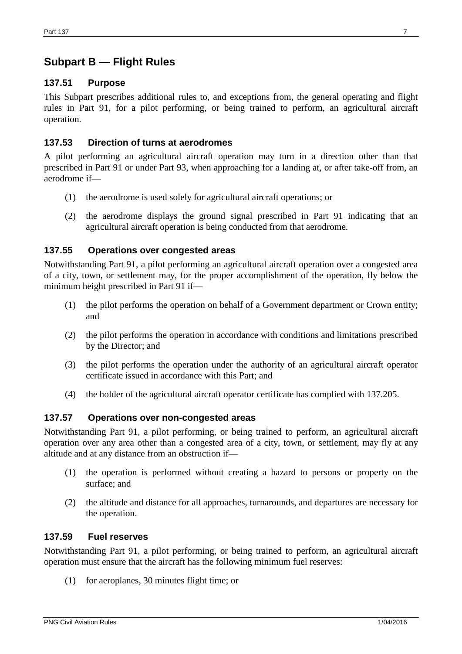## **Subpart B — Flight Rules**

### **137.51 Purpose**

This Subpart prescribes additional rules to, and exceptions from, the general operating and flight rules in Part 91, for a pilot performing, or being trained to perform, an agricultural aircraft operation.

### **137.53 Direction of turns at aerodromes**

A pilot performing an agricultural aircraft operation may turn in a direction other than that prescribed in Part 91 or under Part 93, when approaching for a landing at, or after take-off from, an aerodrome if—

- (1) the aerodrome is used solely for agricultural aircraft operations; or
- (2) the aerodrome displays the ground signal prescribed in Part 91 indicating that an agricultural aircraft operation is being conducted from that aerodrome.

#### **137.55 Operations over congested areas**

Notwithstanding Part 91, a pilot performing an agricultural aircraft operation over a congested area of a city, town, or settlement may, for the proper accomplishment of the operation, fly below the minimum height prescribed in Part 91 if—

- (1) the pilot performs the operation on behalf of a Government department or Crown entity; and
- (2) the pilot performs the operation in accordance with conditions and limitations prescribed by the Director; and
- (3) the pilot performs the operation under the authority of an agricultural aircraft operator certificate issued in accordance with this Part; and
- (4) the holder of the agricultural aircraft operator certificate has complied with 137.205.

#### **137.57 Operations over non-congested areas**

Notwithstanding Part 91, a pilot performing, or being trained to perform, an agricultural aircraft operation over any area other than a congested area of a city, town, or settlement, may fly at any altitude and at any distance from an obstruction if—

- (1) the operation is performed without creating a hazard to persons or property on the surface; and
- (2) the altitude and distance for all approaches, turnarounds, and departures are necessary for the operation.

#### **137.59 Fuel reserves**

Notwithstanding Part 91, a pilot performing, or being trained to perform, an agricultural aircraft operation must ensure that the aircraft has the following minimum fuel reserves:

(1) for aeroplanes, 30 minutes flight time; or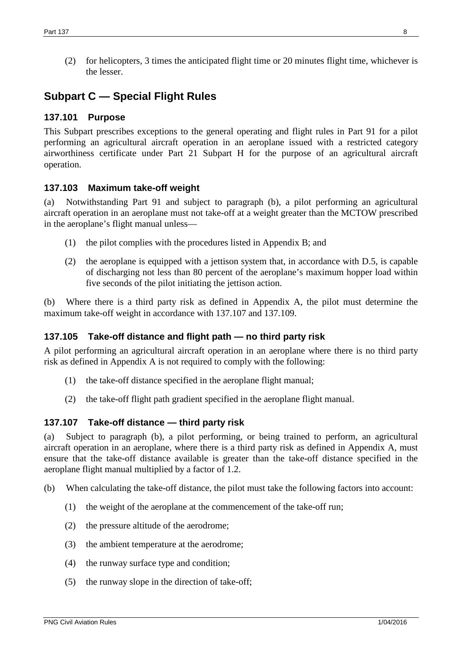(2) for helicopters, 3 times the anticipated flight time or 20 minutes flight time, whichever is the lesser.

# **Subpart C — Special Flight Rules**

### **137.101 Purpose**

This Subpart prescribes exceptions to the general operating and flight rules in Part 91 for a pilot performing an agricultural aircraft operation in an aeroplane issued with a restricted category airworthiness certificate under Part 21 Subpart H for the purpose of an agricultural aircraft operation.

### **137.103 Maximum take-off weight**

(a) Notwithstanding Part 91 and subject to paragraph (b), a pilot performing an agricultural aircraft operation in an aeroplane must not take-off at a weight greater than the MCTOW prescribed in the aeroplane's flight manual unless—

- (1) the pilot complies with the procedures listed in Appendix B; and
- (2) the aeroplane is equipped with a jettison system that, in accordance with D.5, is capable of discharging not less than 80 percent of the aeroplane's maximum hopper load within five seconds of the pilot initiating the jettison action.

(b) Where there is a third party risk as defined in Appendix A, the pilot must determine the maximum take-off weight in accordance with 137.107 and 137.109.

### **137.105 Take-off distance and flight path — no third party risk**

A pilot performing an agricultural aircraft operation in an aeroplane where there is no third party risk as defined in Appendix A is not required to comply with the following:

- (1) the take-off distance specified in the aeroplane flight manual;
- (2) the take-off flight path gradient specified in the aeroplane flight manual.

#### **137.107 Take-off distance — third party risk**

(a) Subject to paragraph (b), a pilot performing, or being trained to perform, an agricultural aircraft operation in an aeroplane, where there is a third party risk as defined in Appendix A, must ensure that the take-off distance available is greater than the take-off distance specified in the aeroplane flight manual multiplied by a factor of 1.2.

- (b) When calculating the take-off distance, the pilot must take the following factors into account:
	- (1) the weight of the aeroplane at the commencement of the take-off run;
	- (2) the pressure altitude of the aerodrome;
	- (3) the ambient temperature at the aerodrome;
	- (4) the runway surface type and condition;
	- (5) the runway slope in the direction of take-off;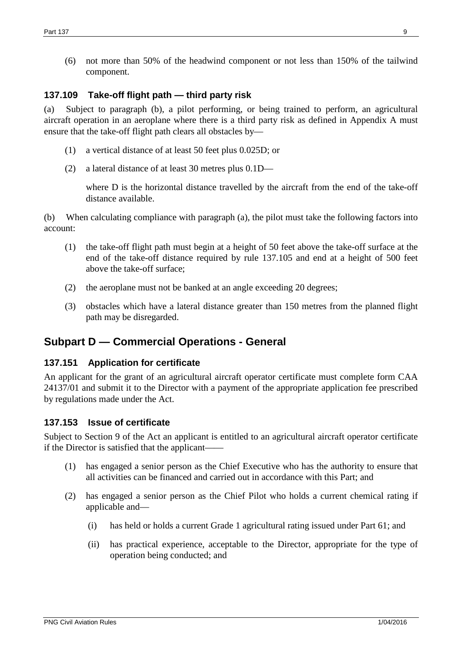(6) not more than 50% of the headwind component or not less than 150% of the tailwind component.

### **137.109 Take-off flight path — third party risk**

(a) Subject to paragraph (b), a pilot performing, or being trained to perform, an agricultural aircraft operation in an aeroplane where there is a third party risk as defined in Appendix A must ensure that the take-off flight path clears all obstacles by—

- (1) a vertical distance of at least 50 feet plus 0.025D; or
- (2) a lateral distance of at least 30 metres plus 0.1D—

where D is the horizontal distance travelled by the aircraft from the end of the take-off distance available.

(b) When calculating compliance with paragraph (a), the pilot must take the following factors into account:

- (1) the take-off flight path must begin at a height of 50 feet above the take-off surface at the end of the take-off distance required by rule 137.105 and end at a height of 500 feet above the take-off surface;
- (2) the aeroplane must not be banked at an angle exceeding 20 degrees;
- (3) obstacles which have a lateral distance greater than 150 metres from the planned flight path may be disregarded.

## **Subpart D — Commercial Operations - General**

#### **137.151 Application for certificate**

An applicant for the grant of an agricultural aircraft operator certificate must complete form CAA 24137/01 and submit it to the Director with a payment of the appropriate application fee prescribed by regulations made under the Act.

#### **137.153 Issue of certificate**

Subject to Section 9 of the Act an applicant is entitled to an agricultural aircraft operator certificate if the Director is satisfied that the applicant——

- (1) has engaged a senior person as the Chief Executive who has the authority to ensure that all activities can be financed and carried out in accordance with this Part; and
- (2) has engaged a senior person as the Chief Pilot who holds a current chemical rating if applicable and—
	- (i) has held or holds a current Grade 1 agricultural rating issued under Part 61; and
	- (ii) has practical experience, acceptable to the Director, appropriate for the type of operation being conducted; and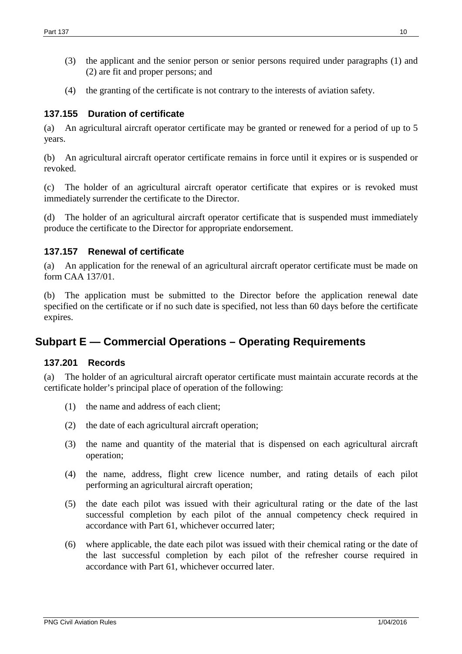- (3) the applicant and the senior person or senior persons required under paragraphs (1) and (2) are fit and proper persons; and
- (4) the granting of the certificate is not contrary to the interests of aviation safety.

#### **137.155 Duration of certificate**

(a) An agricultural aircraft operator certificate may be granted or renewed for a period of up to 5 years.

(b) An agricultural aircraft operator certificate remains in force until it expires or is suspended or revoked.

(c) The holder of an agricultural aircraft operator certificate that expires or is revoked must immediately surrender the certificate to the Director.

(d) The holder of an agricultural aircraft operator certificate that is suspended must immediately produce the certificate to the Director for appropriate endorsement.

#### **137.157 Renewal of certificate**

(a) An application for the renewal of an agricultural aircraft operator certificate must be made on form CAA 137/01.

(b) The application must be submitted to the Director before the application renewal date specified on the certificate or if no such date is specified, not less than 60 days before the certificate expires.

## **Subpart E — Commercial Operations – Operating Requirements**

#### **137.201 Records**

(a) The holder of an agricultural aircraft operator certificate must maintain accurate records at the certificate holder's principal place of operation of the following:

- (1) the name and address of each client;
- (2) the date of each agricultural aircraft operation;
- (3) the name and quantity of the material that is dispensed on each agricultural aircraft operation;
- (4) the name, address, flight crew licence number, and rating details of each pilot performing an agricultural aircraft operation;
- (5) the date each pilot was issued with their agricultural rating or the date of the last successful completion by each pilot of the annual competency check required in accordance with Part 61, whichever occurred later;
- (6) where applicable, the date each pilot was issued with their chemical rating or the date of the last successful completion by each pilot of the refresher course required in accordance with Part 61, whichever occurred later.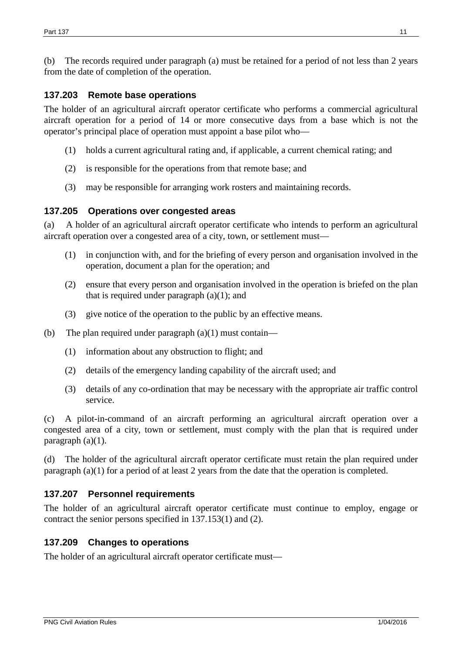(b) The records required under paragraph (a) must be retained for a period of not less than 2 years from the date of completion of the operation.

#### **137.203 Remote base operations**

The holder of an agricultural aircraft operator certificate who performs a commercial agricultural aircraft operation for a period of 14 or more consecutive days from a base which is not the operator's principal place of operation must appoint a base pilot who—

- (1) holds a current agricultural rating and, if applicable, a current chemical rating; and
- (2) is responsible for the operations from that remote base; and
- (3) may be responsible for arranging work rosters and maintaining records.

#### **137.205 Operations over congested areas**

(a) A holder of an agricultural aircraft operator certificate who intends to perform an agricultural aircraft operation over a congested area of a city, town, or settlement must—

- (1) in conjunction with, and for the briefing of every person and organisation involved in the operation, document a plan for the operation; and
- (2) ensure that every person and organisation involved in the operation is briefed on the plan that is required under paragraph  $(a)(1)$ ; and
- (3) give notice of the operation to the public by an effective means.
- (b) The plan required under paragraph  $(a)(1)$  must contain—
	- (1) information about any obstruction to flight; and
	- (2) details of the emergency landing capability of the aircraft used; and
	- (3) details of any co-ordination that may be necessary with the appropriate air traffic control service.

(c) A pilot-in-command of an aircraft performing an agricultural aircraft operation over a congested area of a city, town or settlement, must comply with the plan that is required under paragraph (a)(1).

(d) The holder of the agricultural aircraft operator certificate must retain the plan required under paragraph (a)(1) for a period of at least 2 years from the date that the operation is completed.

#### **137.207 Personnel requirements**

The holder of an agricultural aircraft operator certificate must continue to employ, engage or contract the senior persons specified in 137.153(1) and (2).

#### **137.209 Changes to operations**

The holder of an agricultural aircraft operator certificate must—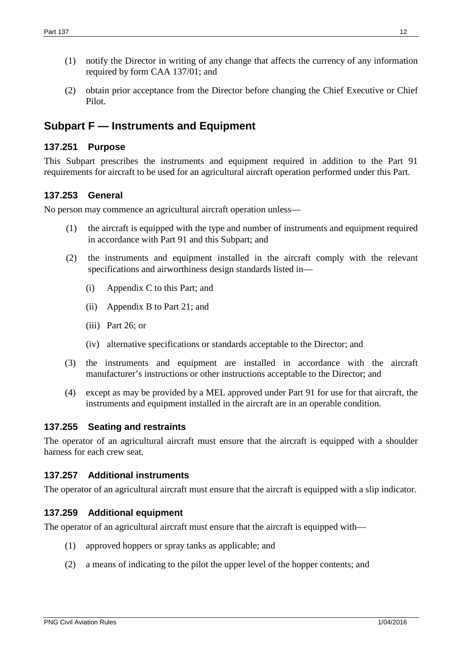- (1) notify the Director in writing of any change that affects the currency of any information required by form CAA 137/01; and
- (2) obtain prior acceptance from the Director before changing the Chief Executive or Chief Pilot.

## **Subpart F — Instruments and Equipment**

### **137.251 Purpose**

This Subpart prescribes the instruments and equipment required in addition to the Part 91 requirements for aircraft to be used for an agricultural aircraft operation performed under this Part.

### **137.253 General**

No person may commence an agricultural aircraft operation unless—

- (1) the aircraft is equipped with the type and number of instruments and equipment required in accordance with Part 91 and this Subpart; and
- (2) the instruments and equipment installed in the aircraft comply with the relevant specifications and airworthiness design standards listed in—
	- (i) Appendix C to this Part; and
	- (ii) Appendix B to Part 21; and
	- (iii) Part 26; or
	- (iv) alternative specifications or standards acceptable to the Director; and
- (3) the instruments and equipment are installed in accordance with the aircraft manufacturer's instructions or other instructions acceptable to the Director; and
- (4) except as may be provided by a MEL approved under Part 91 for use for that aircraft, the instruments and equipment installed in the aircraft are in an operable condition.

### **137.255 Seating and restraints**

The operator of an agricultural aircraft must ensure that the aircraft is equipped with a shoulder harness for each crew seat.

### **137.257 Additional instruments**

The operator of an agricultural aircraft must ensure that the aircraft is equipped with a slip indicator.

### **137.259 Additional equipment**

The operator of an agricultural aircraft must ensure that the aircraft is equipped with—

- (1) approved hoppers or spray tanks as applicable; and
- (2) a means of indicating to the pilot the upper level of the hopper contents; and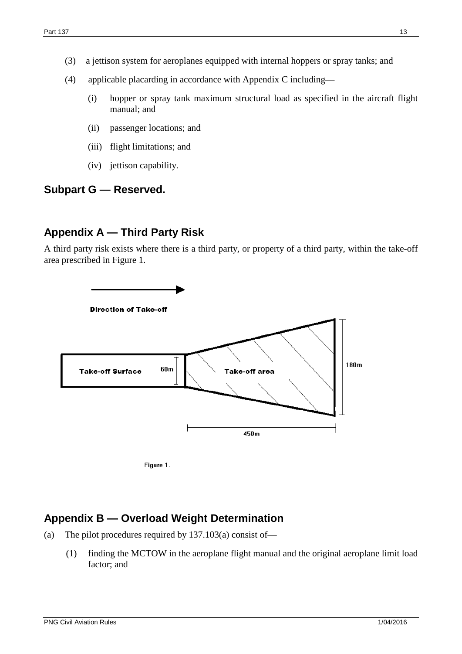- (4) applicable placarding in accordance with Appendix C including—
	- (i) hopper or spray tank maximum structural load as specified in the aircraft flight manual; and
	- (ii) passenger locations; and
	- (iii) flight limitations; and
	- (iv) jettison capability.

## **Subpart G — Reserved.**

## **Appendix A — Third Party Risk**

A third party risk exists where there is a third party, or property of a third party, within the take-off area prescribed in Figure 1.





# **Appendix B — Overload Weight Determination**

- (a) The pilot procedures required by 137.103(a) consist of—
	- (1) finding the MCTOW in the aeroplane flight manual and the original aeroplane limit load factor; and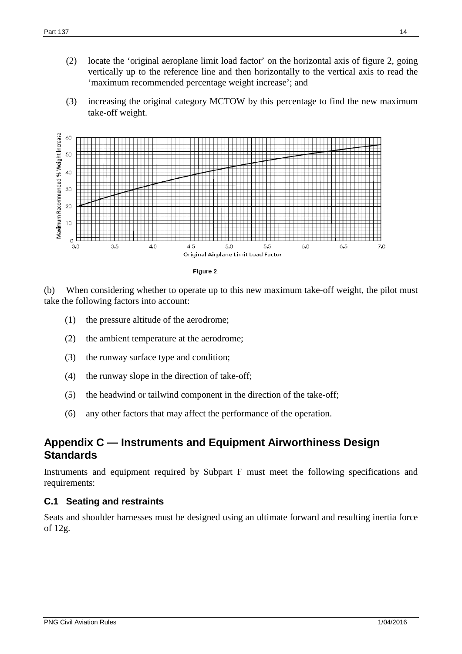- (2) locate the 'original aeroplane limit load factor' on the horizontal axis of figure 2, going vertically up to the reference line and then horizontally to the vertical axis to read the 'maximum recommended percentage weight increase'; and
- (3) increasing the original category MCTOW by this percentage to find the new maximum take-off weight.





(b) When considering whether to operate up to this new maximum take-off weight, the pilot must take the following factors into account:

- (1) the pressure altitude of the aerodrome;
- (2) the ambient temperature at the aerodrome;
- (3) the runway surface type and condition;
- (4) the runway slope in the direction of take-off;
- (5) the headwind or tailwind component in the direction of the take-off;
- (6) any other factors that may affect the performance of the operation.

## **Appendix C — Instruments and Equipment Airworthiness Design Standards**

Instruments and equipment required by Subpart F must meet the following specifications and requirements:

#### **C.1 Seating and restraints**

Seats and shoulder harnesses must be designed using an ultimate forward and resulting inertia force of 12g.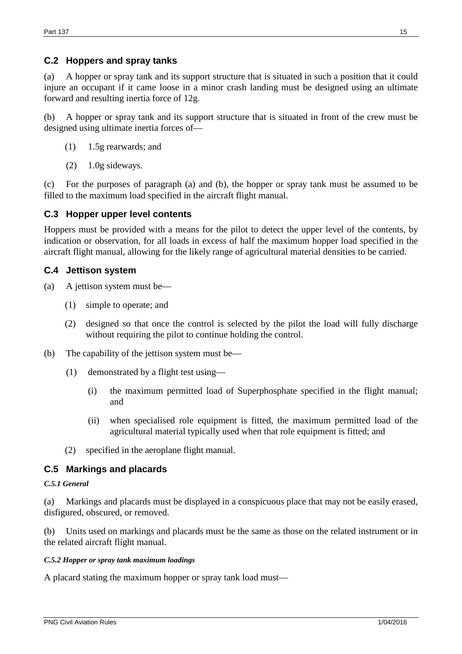#### **C.2 Hoppers and spray tanks**

(a) A hopper or spray tank and its support structure that is situated in such a position that it could injure an occupant if it came loose in a minor crash landing must be designed using an ultimate forward and resulting inertia force of 12g.

(b) A hopper or spray tank and its support structure that is situated in front of the crew must be designed using ultimate inertia forces of—

- (1) 1.5g rearwards; and
- (2) 1.0g sideways.

(c) For the purposes of paragraph (a) and (b), the hopper or spray tank must be assumed to be filled to the maximum load specified in the aircraft flight manual.

#### **C.3 Hopper upper level contents**

Hoppers must be provided with a means for the pilot to detect the upper level of the contents, by indication or observation, for all loads in excess of half the maximum hopper load specified in the aircraft flight manual, allowing for the likely range of agricultural material densities to be carried.

#### **C.4 Jettison system**

- (a) A jettison system must be—
	- (1) simple to operate; and
	- (2) designed so that once the control is selected by the pilot the load will fully discharge without requiring the pilot to continue holding the control.
- (b) The capability of the jettison system must be—
	- (1) demonstrated by a flight test using—
		- (i) the maximum permitted load of Superphosphate specified in the flight manual; and
		- (ii) when specialised role equipment is fitted, the maximum permitted load of the agricultural material typically used when that role equipment is fitted; and
	- (2) specified in the aeroplane flight manual.

#### **C.5 Markings and placards**

#### *C.5.1 General*

(a) Markings and placards must be displayed in a conspicuous place that may not be easily erased, disfigured, obscured, or removed.

(b) Units used on markings and placards must be the same as those on the related instrument or in the related aircraft flight manual.

#### *C.5.2 Hopper or spray tank maximum loadings*

A placard stating the maximum hopper or spray tank load must—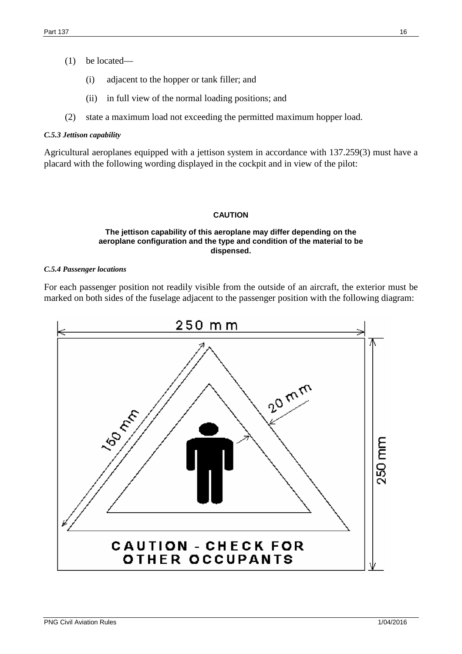- (1) be located—
	- (i) adjacent to the hopper or tank filler; and
	- (ii) in full view of the normal loading positions; and
- (2) state a maximum load not exceeding the permitted maximum hopper load.

#### *C.5.3 Jettison capability*

Agricultural aeroplanes equipped with a jettison system in accordance with 137.259(3) must have a placard with the following wording displayed in the cockpit and in view of the pilot:

#### **CAUTION**

#### **The jettison capability of this aeroplane may differ depending on the aeroplane configuration and the type and condition of the material to be dispensed.**

#### *C.5.4 Passenger locations*

For each passenger position not readily visible from the outside of an aircraft, the exterior must be marked on both sides of the fuselage adjacent to the passenger position with the following diagram: